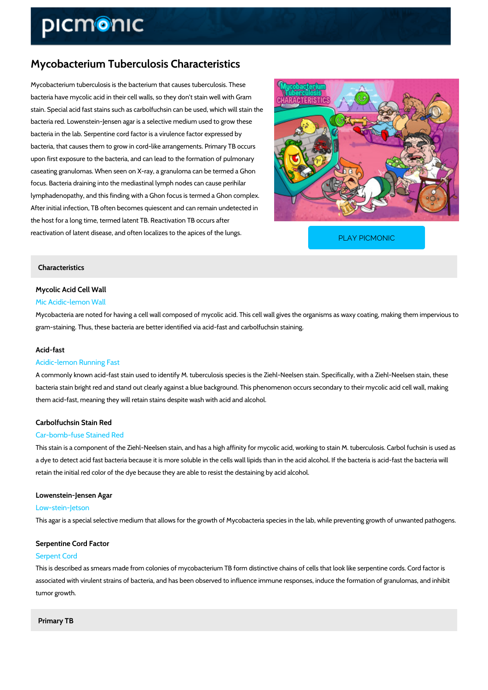# Mycobacterium Tuberculosis Characteristics

Mycobacterium tuberculosis is the bacterium that causes tuberculosis. These bacteria have mycolic acid in their cell walls, so they don t stain well with Gram stain. Special acid fast stains such as carbolfuchsin can be used, which will stain the bacteria red. Lowenstein-Jensen agar is a selective medium used to grow these bacteria in the lab. Serpentine cord factor is a virulence factor expressed by bacteria, that causes them to grow in cord-like arrangements. Primary TB occurs upon first exposure to the bacteria, and can lead to the formation of pulmonary caseating granulomas. When seen on X-ray, a granuloma can be termed a Ghon focus. Bacteria draining into the mediastinal lymph nodes can cause perihilar lymphadenopathy, and this finding with a Ghon focus is termed a Ghon complex. After initial infection, TB often becomes quiescent and can remain undetected in the host for a long time, termed latent TB. Reactivation TB occurs after reactivation of latent disease, and often localizes to the

PLAY PICMONIC

## Characteristics

#### Mycolic Acid Cell Wall

#### Mic Acidic-lemon Wall

Mycobacteria are noted for having a cell wall composed of mycolic acid. This cell wall gives t gram-staining. Thus, these bacteria are better identified via acid-fast and carbolfuchsin stain

## Acid-fast

## Acidic-lemon Running Fast

A commonly known acid-fast stain used to identify M. tuberculosis species is the Ziehl-Neelse bacteria stain bright red and stand out clearly against a blue background. This phenomenon o them acid-fast, meaning they will retain stains despite wash with acid and alcohol.

## Carbolfuchsin Stain Red Car-bomb-fuse Stained Red

This stain is a component of the Ziehl-Neelsen stain, and has a high affinity for mycolic acid, a dye to detect acid fast bacteria because it is more soluble in the cells wall lipids than in th retain the initial red color of the dye because they are able to resist the destaining by acid a

Lowenstein-Jensen Agar Low-stein-Jetson This agar is a special selective medium that allows for the growth of Mycobacteria species in

## Serpentine Cord Factor Serpent Cord

This is described as smears made from colonies of mycobacterium TB form distinctive chains associated with virulent strains of bacteria, and has been observed to influence immune respo tumor growth.

Primary TB